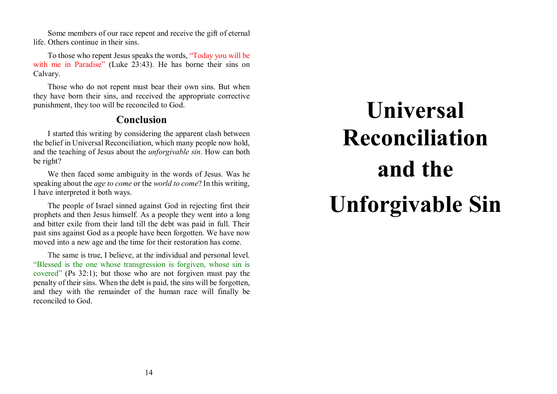Some members of our race repent and receive the gift of eternal life. Others continue in their sins.

To those who repent Jesus speaks the words, "Today you will be with me in Paradise" (Luke 23:43). He has borne their sins on Calvary.

Those who do not repent must bear their own sins. But when they have born their sins, and received the appropriate corrective punishment, they too will be reconciled to God.

## **Conclusion**

I started this writing by considering the apparent clash between the belief in Universal Reconciliation, which many people now hold, and the teaching of Jesus about the *unforgivable sin*. How can both be right?

We then faced some ambiguity in the words of Jesus. Was he speaking about the *age to come* or the *world to come*? In this writing, I have interpreted it both ways.

The people of Israel sinned against God in rejecting first their prophets and then Jesus himself. As a people they went into a long and bitter exile from their land till the debt was paid in full. Their past sins against God as a people have been forgotten. We have now moved into a new age and the time for their restoration has come.

The same is true, I believe, at the individual and personal level. "Blessed is the one whose transgression is forgiven, whose sin is covered" (Ps 32:1); but those who are not forgiven must pay the penalty of their sins. When the debt is paid, the sins will be forgotten, and they with the remainder of the human race will finally be reconciled to God.

# **Universal Reconciliationand the Unforgivable Sin**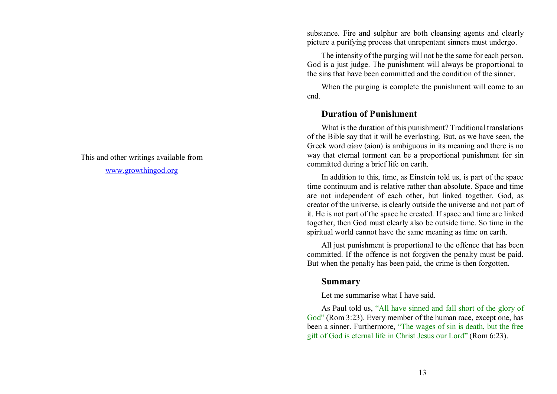This and other writings available from

www.growthingod.org

substance. Fire and sulphur are both cleansing agents and clearly picture a purifying process that unrepentant sinners must undergo.

The intensity of the purging will not be the same for each person. God is a just judge. The punishment will always be proportional to the sins that have been committed and the condition of the sinner.

When the purging is complete the punishment will come to an end.

## **Duration of Punishment**

What is the duration of this punishment? Traditional translations of the Bible say that it will be everlasting. But, as we have seen, the Greek word αἰων (aion) is ambiguous in its meaning and there is no way that eternal torment can be a proportional punishment for sin committed during a brief life on earth.

In addition to this, time, as Einstein told us, is part of the space time continuum and is relative rather than absolute. Space and time are not independent of each other, but linked together. God, as creator of the universe, is clearly outside the universe and not part of it. He is not part of the space he created. If space and time are linked together, then God must clearly also be outside time. So time in the spiritual world cannot have the same meaning as time on earth.

All just punishment is proportional to the offence that has been committed. If the offence is not forgiven the penalty must be paid. But when the penalty has been paid, the crime is then forgotten.

#### **Summary**

Let me summarise what I have said.

As Paul told us, "All have sinned and fall short of the glory of God" (Rom 3:23). Every member of the human race, except one, has been a sinner. Furthermore, "The wages of sin is death, but the free gift of God is eternal life in Christ Jesus our Lord" (Rom 6:23).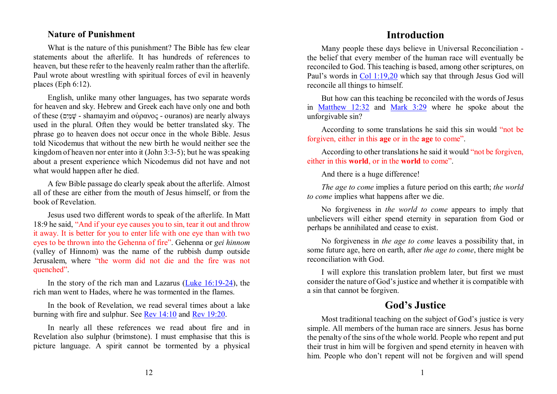### **Nature of Punishment**

What is the nature of this punishment? The Bible has few clear statements about the afterlife. It has hundreds of references to heaven, but these refer to the heavenly realm rather than the afterlife. Paul wrote about wrestling with spiritual forces of evil in heavenly places (Eph 6:12).

English, unlike many other languages, has two separate words for heaven and sky. Hebrew and Greek each have only one and both of these (םִי ַמ ָשׁ - shamayim and οὐρανος - ouranos) are nearly always used in the plural. Often they would be better translated sky. The phrase go to heaven does not occur once in the whole Bible. Jesus told Nicodemus that without the new birth he would neither see the kingdom of heaven nor enter into it (John 3:3-5); but he was speaking about a present experience which Nicodemus did not have and not what would happen after he died.

A few Bible passage do clearly speak about the afterlife. Almost all of these are either from the mouth of Jesus himself, or from the book of Revelation.

Jesus used two different words to speak of the afterlife. In Matt 18:9 he said, "And if your eye causes you to sin, tear it out and throw it away. It is better for you to enter life with one eye than with two eyes to be thrown into the Gehenna of fire". Gehenna or *gei hinnom* (valley of Hinnom) was the name of the rubbish dump outside Jerusalem, where "the worm did not die and the fire was not quenched".

In the story of the rich man and Lazarus  $(Luke 16:19-24)$ , the rich man went to Hades, where he was tormented in the flames.

In the book of Revelation, we read several times about a lake burning with fire and sulphur. See  $\frac{\text{Rev } 14:10}{\text{Po}}$  and  $\frac{\text{Rev } 19:20}{\text{Po}}$ .

In nearly all these references we read about fire and in Revelation also sulphur (brimstone). I must emphasise that this is picture language. A spirit cannot be tormented by a physical

## **Introduction**

Many people these days believe in Universal Reconciliation the belief that every member of the human race will eventually be reconciled to God. This teaching is based, among other scriptures, on Paul's words in Col 1:19,20 which say that through Jesus God will reconcile all things to himself.

But how can this teaching be reconciled with the words of Jesus in Matthew 12:32 and Mark 3:29 where he spoke about the unforgivable sin?

According to some translations he said this sin would "not be forgiven, either in this **age** or in the **age** to come".

According to other translations he said it would "not be forgiven, either in this **world**, or in the **world** to come".

And there is a huge difference!

*The age to come* implies a future period on this earth; *the world to come* implies what happens after we die.

No forgiveness in *the world to come* appears to imply that unbelievers will either spend eternity in separation from God or perhaps be annihilated and cease to exist.

No forgiveness in *the age to come* leaves a possibility that, in some future age, here on earth, after *the age to come*, there might be reconciliation with God.

I will explore this translation problem later, but first we must consider the nature of God's justice and whether it is compatible with a sin that cannot be forgiven.

## **God's Justice**

Most traditional teaching on the subject of God's justice is very simple. All members of the human race are sinners. Jesus has borne the penalty of the sins of the whole world. People who repent and put their trust in him will be forgiven and spend eternity in heaven with him. People who don't repent will not be forgiven and will spend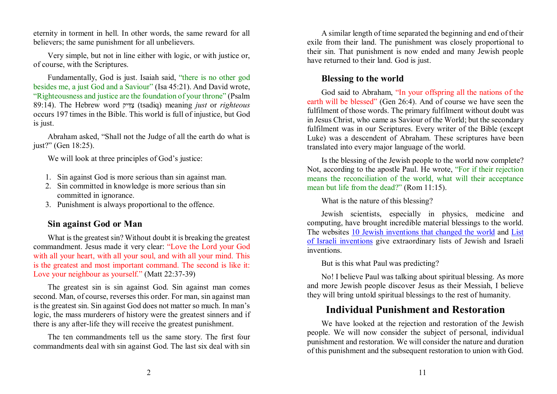eternity in torment in hell. In other words, the same reward for all believers; the same punishment for all unbelievers.

Very simple, but not in line either with logic, or with justice or, of course, with the Scriptures.

Fundamentally, God is just. Isaiah said, "there is no other god besides me, a just God and a Saviour" (Isa 45:21). And David wrote, "Righteousness and justice are the foundation of your throne" (Psalm 89:14). The Hebrew word יק ִדַּצ) tsadiq) meaning *just* or *righteous* occurs 197 times in the Bible. This world is full of injustice, but God is just.

Abraham asked, "Shall not the Judge of all the earth do what is just?" (Gen 18:25).

We will look at three principles of God's justice:

- 1. Sin against God is more serious than sin against man.
- 2. Sin committed in knowledge is more serious than sin committed in ignorance.
- 3. Punishment is always proportional to the offence.

## **Sin against God or Man**

What is the greatest sin? Without doubt it is breaking the greatest commandment. Jesus made it very clear: "Love the Lord your God with all your heart, with all your soul, and with all your mind. This is the greatest and most important command. The second is like it: Love your neighbour as yourself." (Matt 22:37-39)

The greatest sin is sin against God. Sin against man comes second. Man, of course, reverses this order. For man, sin against man is the greatest sin. Sin against God does not matter so much. In man's logic, the mass murderers of history were the greatest sinners and if there is any after-life they will receive the greatest punishment.

The ten commandments tell us the same story. The first four commandments deal with sin against God. The last six deal with sin

A similar length of time separated the beginning and end of their exile from their land. The punishment was closely proportional to their sin. That punishment is now ended and many Jewish people have returned to their land. God is just.

## **Blessing to the world**

God said to Abraham, "In your offspring all the nations of the earth will be blessed" (Gen 26:4). And of course we have seen the fulfilment of those words. The primary fulfilment without doubt was in Jesus Christ, who came as Saviour of the World; but the secondary fulfilment was in our Scriptures. Every writer of the Bible (except Luke) was a descendent of Abraham. These scriptures have been translated into every major language of the world.

Is the blessing of the Jewish people to the world now complete? Not, according to the apostle Paul. He wrote, "For if their rejection means the reconciliation of the world, what will their acceptance mean but life from the dead?" (Rom 11:15).

What is the nature of this blessing?

Jewish scientists, especially in physics, medicine and computing, have brought incredible material blessings to the world. The websites 10 Jewish inventions that changed the world and List of Israeli inventions give extraordinary lists of Jewish and Israeli inventions.

But is this what Paul was predicting?

No! I believe Paul was talking about spiritual blessing. As more and more Jewish people discover Jesus as their Messiah, I believe they will bring untold spiritual blessings to the rest of humanity.

# **Individual Punishment and Restoration**

We have looked at the rejection and restoration of the Jewish people. We will now consider the subject of personal, individual punishment and restoration. We will consider the nature and duration of this punishment and the subsequent restoration to union with God.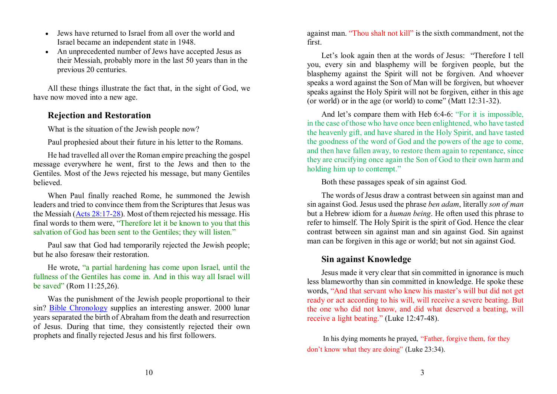- $\bullet$  Jews have returned to Israel from all over the world and Israel became an independent state in 1948.
- An unprecedented number of Jews have accepted Jesus as their Messiah, probably more in the last 50 years than in the previous 20 centuries.

All these things illustrate the fact that, in the sight of God, we have now moved into a new age.

## **Rejection and Restoration**

What is the situation of the Jewish people now?

Paul prophesied about their future in his letter to the Romans.

He had travelled all over the Roman empire preaching the gospel message everywhere he went, first to the Jews and then to the Gentiles. Most of the Jews rejected his message, but many Gentiles believed.

When Paul finally reached Rome, he summoned the Jewish leaders and tried to convince them from the Scriptures that Jesus was the Messiah (Acts 28:17-28). Most of them rejected his message. His final words to them were, "Therefore let it be known to you that this salvation of God has been sent to the Gentiles; they will listen."

Paul saw that God had temporarily rejected the Jewish people; but he also foresaw their restoration.

He wrote, "a partial hardening has come upon Israel, until the fullness of the Gentiles has come in. And in this way all Israel will be saved" (Rom 11:25,26).

Was the punishment of the Jewish people proportional to their sin? Bible Chronology supplies an interesting answer. 2000 lunar years separated the birth of Abraham from the death and resurrection of Jesus. During that time, they consistently rejected their own prophets and finally rejected Jesus and his first followers.

against man. "Thou shalt not kill" is the sixth commandment, not the first.

Let's look again then at the words of Jesus: "Therefore I tell you, every sin and blasphemy will be forgiven people, but the blasphemy against the Spirit will not be forgiven. And whoever speaks a word against the Son of Man will be forgiven, but whoever speaks against the Holy Spirit will not be forgiven, either in this age (or world) or in the age (or world) to come" (Matt 12:31-32).

And let's compare them with Heb 6:4-6: "For it is impossible, in the case of those who have once been enlightened, who have tasted the heavenly gift, and have shared in the Holy Spirit, and have tasted the goodness of the word of God and the powers of the age to come, and then have fallen away, to restore them again to repentance, since they are crucifying once again the Son of God to their own harm and holding him up to contempt."

Both these passages speak of sin against God.

The words of Jesus draw a contrast between sin against man and sin against God. Jesus used the phrase *ben adam*, literally *son of man* but a Hebrew idiom for a *human being*. He often used this phrase to refer to himself. The Holy Spirit is the spirit of God. Hence the clear contrast between sin against man and sin against God. Sin against man can be forgiven in this age or world; but not sin against God.

## **Sin against Knowledge**

Jesus made it very clear that sin committed in ignorance is much less blameworthy than sin committed in knowledge. He spoke these words, "And that servant who knew his master's will but did not get ready or act according to his will, will receive a severe beating. But the one who did not know, and did what deserved a beating, will receive a light beating." (Luke 12:47-48).

In his dying moments he prayed, "Father, forgive them, for they don't know what they are doing" (Luke 23:34).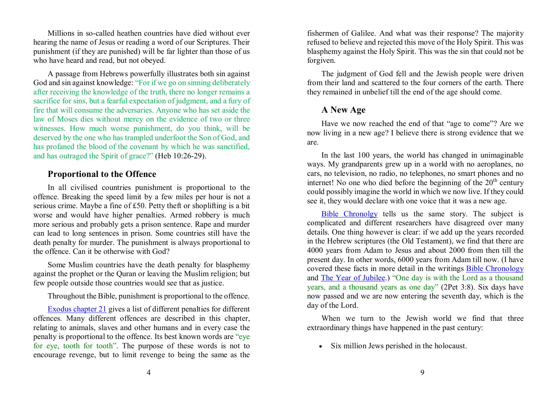Millions in so-called heathen countries have died without ever hearing the name of Jesus or reading a word of our Scriptures. Their punishment (if they are punished) will be far lighter than those of us who have heard and read, but not obeyed.

A passage from Hebrews powerfully illustrates both sin against God and sin against knowledge: "For if we go on sinning deliberately after receiving the knowledge of the truth, there no longer remains a sacrifice for sins, but a fearful expectation of judgment, and a fury of fire that will consume the adversaries. Anyone who has set aside the law of Moses dies without mercy on the evidence of two or three witnesses. How much worse punishment, do you think, will be deserved by the one who has trampled underfoot the Son of God, and has profaned the blood of the covenant by which he was sanctified, and has outraged the Spirit of grace?" (Heb 10:26-29).

#### **Proportional to the Offence**

In all civilised countries punishment is proportional to the offence. Breaking the speed limit by a few miles per hour is not a serious crime. Maybe a fine of £50. Petty theft or shoplifting is a bit worse and would have higher penalties. Armed robbery is much more serious and probably gets a prison sentence. Rape and murder can lead to long sentences in prison. Some countries still have the death penalty for murder. The punishment is always proportional to the offence. Can it be otherwise with God?

Some Muslim countries have the death penalty for blasphemy against the prophet or the Quran or leaving the Muslim religion; but few people outside those countries would see that as justice.

Throughout the Bible, punishment is proportional to the offence.

Exodus chapter 21 gives a list of different penalties for different offences. Many different offences are described in this chapter, relating to animals, slaves and other humans and in every case the penalty is proportional to the offence. Its best known words are "eye for eye, tooth for tooth". The purpose of these words is not to encourage revenge, but to limit revenge to being the same as the fishermen of Galilee. And what was their response? The majority refused to believe and rejected this move of the Holy Spirit. This was blasphemy against the Holy Spirit. This was the sin that could not be forgiven.

The judgment of God fell and the Jewish people were driven from their land and scattered to the four corners of the earth. There they remained in unbelief till the end of the age should come.

#### **A New Age**

Have we now reached the end of that "age to come"? Are we now living in a new age? I believe there is strong evidence that we are.

In the last 100 years, the world has changed in unimaginable ways. My grandparents grew up in a world with no aeroplanes, no cars, no television, no radio, no telephones, no smart phones and no internet! No one who died before the beginning of the  $20<sup>th</sup>$  century could possibly imagine the world in which we now live. If they could see it, they would declare with one voice that it was a new age.

Bible Chronolgy tells us the same story. The subject is complicated and different researchers have disagreed over many details. One thing however is clear: if we add up the years recorded in the Hebrew scriptures (the Old Testament), we find that there are 4000 years from Adam to Jesus and about 2000 from then till the present day. In other words, 6000 years from Adam till now. (I have covered these facts in more detail in the writings **Bible Chronology** and **The Year of Jubilee**.) "One day is with the Lord as a thousand years, and a thousand years as one day" (2Pet 3:8). Six days have now passed and we are now entering the seventh day, which is the day of the Lord.

When we turn to the Jewish world we find that three extraordinary things have happened in the past century:

Six million Jews perished in the holocaust.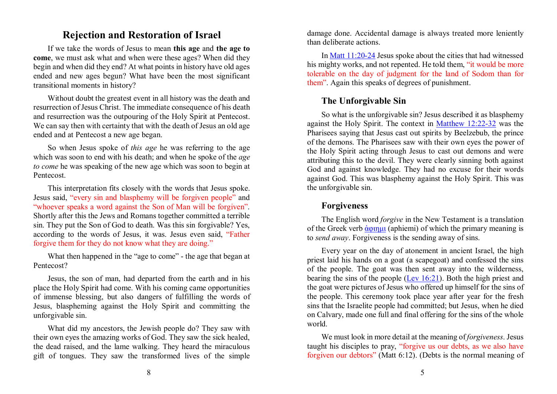## **Rejection and Restoration of Israel**

If we take the words of Jesus to mean **this age** and **the age to come**, we must ask what and when were these ages? When did they begin and when did they end? At what points in history have old ages ended and new ages begun? What have been the most significant transitional moments in history?

Without doubt the greatest event in all history was the death and resurrection of Jesus Christ. The immediate consequence of his death and resurrection was the outpouring of the Holy Spirit at Pentecost. We can say then with certainty that with the death of Jesus an old age ended and at Pentecost a new age began.

So when Jesus spoke of *this age* he was referring to the age which was soon to end with his death; and when he spoke of the *age to come* he was speaking of the new age which was soon to begin at Pentecost.

This interpretation fits closely with the words that Jesus spoke. Jesus said, "every sin and blasphemy will be forgiven people" and "whoever speaks a word against the Son of Man will be forgiven". Shortly after this the Jews and Romans together committed a terrible sin. They put the Son of God to death. Was this sin forgivable? Yes, according to the words of Jesus, it was. Jesus even said, "Father forgive them for they do not know what they are doing."

What then happened in the "age to come" - the age that began at Pentecost?

Jesus, the son of man, had departed from the earth and in his place the Holy Spirit had come. With his coming came opportunities of immense blessing, but also dangers of fulfilling the words of Jesus, blaspheming against the Holy Spirit and committing the unforgivable sin.

What did my ancestors, the Jewish people do? They saw with their own eyes the amazing works of God. They saw the sick healed, the dead raised, and the lame walking. They heard the miraculous gift of tongues. They saw the transformed lives of the simple damage done. Accidental damage is always treated more leniently than deliberate actions.

In Matt 11:20-24 Jesus spoke about the cities that had witnessed his mighty works, and not repented. He told them, "it would be more tolerable on the day of judgment for the land of Sodom than for them". Again this speaks of degrees of punishment.

## **The Unforgivable Sin**

So what is the unforgivable sin? Jesus described it as blasphemy against the Holy Spirit. The context in Matthew 12:22-32 was the Pharisees saying that Jesus cast out spirits by Beelzebub, the prince of the demons. The Pharisees saw with their own eyes the power of the Holy Spirit acting through Jesus to cast out demons and were attributing this to the devil. They were clearly sinning both against God and against knowledge. They had no excuse for their words against God. This was blasphemy against the Holy Spirit. This was the unforgivable sin.

#### **Forgiveness**

The English word *forgive* in the New Testament is a translation of the Greek verb <u>ἀφιημι</u> (aphiemi) of which the primary meaning is to *send away*. Forgiveness is the sending away of sins.

Every year on the day of atonement in ancient Israel, the high priest laid his hands on a goat (a scapegoat) and confessed the sins of the people. The goat was then sent away into the wilderness, bearing the sins of the people  $(\underline{Lev 16:21})$ . Both the high priest and the goat were pictures of Jesus who offered up himself for the sins of the people. This ceremony took place year after year for the fresh sins that the Israelite people had committed; but Jesus, when he died on Calvary, made one full and final offering for the sins of the whole world.

We must look in more detail at the meaning of *forgiveness*. Jesus taught his disciples to pray, "forgive us our debts, as we also have forgiven our debtors" (Matt 6:12). (Debts is the normal meaning of